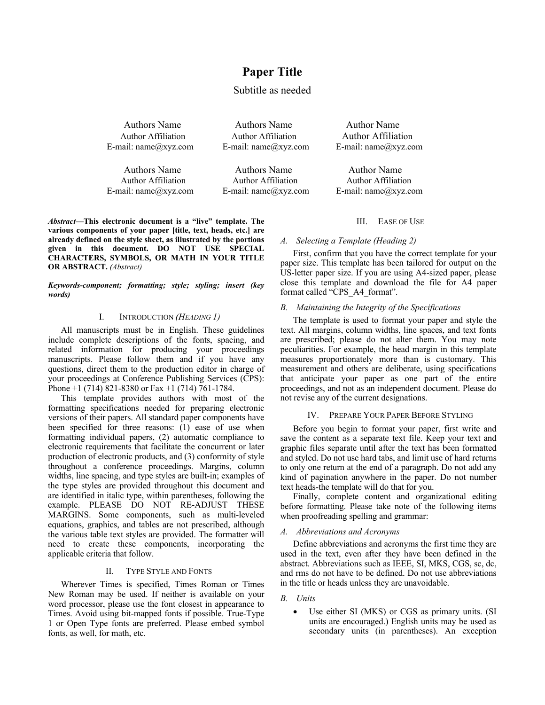# **Paper Title**

## Subtitle as needed

| <b>Authors Name</b>    | <b>Authors Name</b>    | <b>Author Name</b>     |
|------------------------|------------------------|------------------------|
| Author Affiliation     | Author Affiliation     | Author Affiliation     |
| E-mail: $name@xyz.com$ | E-mail: $name@xyz.com$ | E-mail: $name@xyz.com$ |
|                        |                        |                        |
| <b>Authors Name</b>    | <b>Authors Name</b>    | <b>Author Name</b>     |

*Abstract***—This electronic document is a "live" template. The various components of your paper [title, text, heads, etc.] are already defined on the style sheet, as illustrated by the portions given in this document. DO NOT USE SPECIAL CHARACTERS, SYMBOLS, OR MATH IN YOUR TITLE** 

*Keywords-component; formatting; style; styling; insert (key words)*

**OR ABSTRACT.** *(Abstract)*

#### I. INTRODUCTION *(HEADING 1)*

All manuscripts must be in English. These guidelines include complete descriptions of the fonts, spacing, and related information for producing your proceedings manuscripts. Please follow them and if you have any questions, direct them to the production editor in charge of your proceedings at Conference Publishing Services (CPS): Phone +1 (714) 821-8380 or Fax +1 (714) 761-1784.

This template provides authors with most of the formatting specifications needed for preparing electronic versions of their papers. All standard paper components have been specified for three reasons: (1) ease of use when formatting individual papers, (2) automatic compliance to electronic requirements that facilitate the concurrent or later production of electronic products, and (3) conformity of style throughout a conference proceedings. Margins, column widths, line spacing, and type styles are built-in; examples of the type styles are provided throughout this document and are identified in italic type, within parentheses, following the example. PLEASE DO NOT RE-ADJUST THESE MARGINS. Some components, such as multi-leveled equations, graphics, and tables are not prescribed, although the various table text styles are provided. The formatter will need to create these components, incorporating the applicable criteria that follow.

### II. TYPE STYLE AND FONTS

Wherever Times is specified, Times Roman or Times New Roman may be used. If neither is available on your word processor, please use the font closest in appearance to Times. Avoid using bit-mapped fonts if possible. True-Type 1 or Open Type fonts are preferred. Please embed symbol fonts, as well, for math, etc.

 Author Affiliation Author Affiliation Author Affiliation E-mail: name@xyz.com E-mail: name@xyz.com E-mail: name@xyz.com

III. EASE OF USE

*A. Selecting a Template (Heading 2)*

First, confirm that you have the correct template for your paper size. This template has been tailored for output on the US-letter paper size. If you are using A4-sized paper, please close this template and download the file for A4 paper format called "CPS\_A4\_format".

## *B. Maintaining the Integrity of the Specifications*

The template is used to format your paper and style the text. All margins, column widths, line spaces, and text fonts are prescribed; please do not alter them. You may note peculiarities. For example, the head margin in this template measures proportionately more than is customary. This measurement and others are deliberate, using specifications that anticipate your paper as one part of the entire proceedings, and not as an independent document. Please do not revise any of the current designations.

#### IV. PREPARE YOUR PAPER BEFORE STYLING

Before you begin to format your paper, first write and save the content as a separate text file. Keep your text and graphic files separate until after the text has been formatted and styled. Do not use hard tabs, and limit use of hard returns to only one return at the end of a paragraph. Do not add any kind of pagination anywhere in the paper. Do not number text heads-the template will do that for you.

Finally, complete content and organizational editing before formatting. Please take note of the following items when proofreading spelling and grammar:

#### *A. Abbreviations and Acronyms*

Define abbreviations and acronyms the first time they are used in the text, even after they have been defined in the abstract. Abbreviations such as IEEE, SI, MKS, CGS, sc, dc, and rms do not have to be defined. Do not use abbreviations in the title or heads unless they are unavoidable.

#### *B. Units*

Use either SI (MKS) or CGS as primary units. (SI units are encouraged.) English units may be used as secondary units (in parentheses). An exception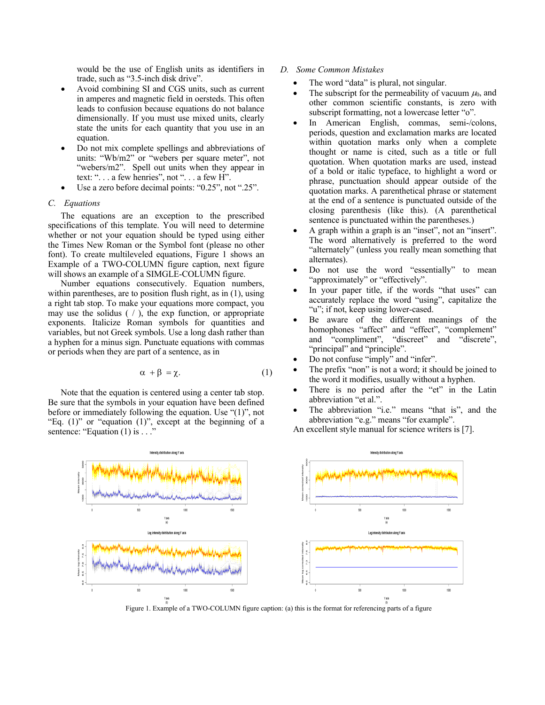would be the use of English units as identifiers in trade, such as "3.5-inch disk drive".

- Avoid combining SI and CGS units, such as current in amperes and magnetic field in oersteds. This often leads to confusion because equations do not balance dimensionally. If you must use mixed units, clearly state the units for each quantity that you use in an equation.
- Do not mix complete spellings and abbreviations of units: "Wb/m2" or "webers per square meter", not "webers/m2". Spell out units when they appear in text: ". . . a few henries", not ". . . a few H".
- Use a zero before decimal points: "0.25", not ".25".

#### *C. Equations*

The equations are an exception to the prescribed specifications of this template. You will need to determine whether or not your equation should be typed using either the Times New Roman or the Symbol font (please no other font). To create multileveled equations, Figure 1 shows an Example of a TWO-COLUMN figure caption, next figure will shows an example of a SIMGLE-COLUMN figure.

Number equations consecutively. Equation numbers, within parentheses, are to position flush right, as in (1), using a right tab stop. To make your equations more compact, you may use the solidus  $( / )$ , the exp function, or appropriate exponents. Italicize Roman symbols for quantities and variables, but not Greek symbols. Use a long dash rather than a hyphen for a minus sign. Punctuate equations with commas or periods when they are part of a sentence, as in

$$
\alpha + \beta = \chi. \tag{1}
$$

Note that the equation is centered using a center tab stop. Be sure that the symbols in your equation have been defined before or immediately following the equation. Use "(1)", not "Eq. (1)" or "equation (1)", except at the beginning of a sentence: "Equation (1) is . . ."

- *D. Some Common Mistakes*
	- The word "data" is plural, not singular.
	- The subscript for the permeability of vacuum  $\mu_0$ , and other common scientific constants, is zero with subscript formatting, not a lowercase letter "o".
	- In American English, commas, semi-/colons, periods, question and exclamation marks are located within quotation marks only when a complete thought or name is cited, such as a title or full quotation. When quotation marks are used, instead of a bold or italic typeface, to highlight a word or phrase, punctuation should appear outside of the quotation marks. A parenthetical phrase or statement at the end of a sentence is punctuated outside of the closing parenthesis (like this). (A parenthetical sentence is punctuated within the parentheses.)
	- A graph within a graph is an "inset", not an "insert". The word alternatively is preferred to the word "alternately" (unless you really mean something that alternates).
	- Do not use the word "essentially" to mean "approximately" or "effectively".
	- In your paper title, if the words "that uses" can accurately replace the word "using", capitalize the "u"; if not, keep using lower-cased.
	- Be aware of the different meanings of the homophones "affect" and "effect", "complement" and "compliment", "discreet" and "discrete", "principal" and "principle".
	- Do not confuse "imply" and "infer".
	- The prefix "non" is not a word; it should be joined to the word it modifies, usually without a hyphen.
	- There is no period after the "et" in the Latin abbreviation "et al.".
	- The abbreviation "i.e." means "that is", and the abbreviation "e.g." means "for example".

An excellent style manual for science writers is [7].



Figure 1. Example of a TWO-COLUMN figure caption: (a) this is the format for referencing parts of a figure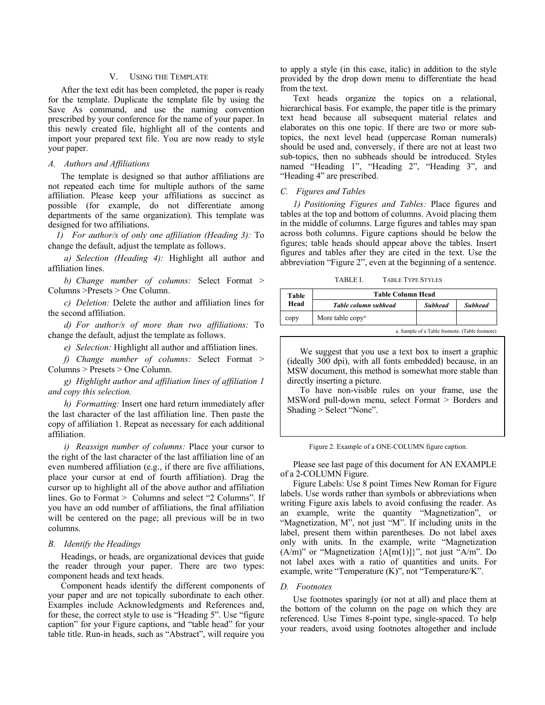### V. USING THE TEMPLATE

After the text edit has been completed, the paper is ready for the template. Duplicate the template file by using the Save As command, and use the naming convention prescribed by your conference for the name of your paper. In this newly created file, highlight all of the contents and import your prepared text file. You are now ready to style your paper.

## *A. Authors and Affiliations*

The template is designed so that author affiliations are not repeated each time for multiple authors of the same affiliation. Please keep your affiliations as succinct as possible (for example, do not differentiate among departments of the same organization). This template was designed for two affiliations.

*1) For author/s of only one affiliation (Heading 3):* To change the default, adjust the template as follows.

*a) Selection (Heading 4):* Highlight all author and affiliation lines.

*b) Change number of columns:* Select Format > Columns >Presets > One Column.

*c) Deletion:* Delete the author and affiliation lines for the second affiliation.

*d) For author/s of more than two affiliations:* To change the default, adjust the template as follows.

*e) Selection:* Highlight all author and affiliation lines.

*f) Change number of columns:* Select Format > Columns > Presets > One Column.

*g) Highlight author and affiliation lines of affiliation 1 and copy this selection.*

*h) Formatting:* Insert one hard return immediately after the last character of the last affiliation line. Then paste the copy of affiliation 1. Repeat as necessary for each additional affiliation.

*i) Reassign number of columns:* Place your cursor to the right of the last character of the last affiliation line of an even numbered affiliation (e.g., if there are five affiliations, place your cursor at end of fourth affiliation). Drag the cursor up to highlight all of the above author and affiliation lines. Go to Format > Columns and select "2 Columns". If you have an odd number of affiliations, the final affiliation will be centered on the page; all previous will be in two columns.

#### *B. Identify the Headings*

Headings, or heads, are organizational devices that guide the reader through your paper. There are two types: component heads and text heads.

Component heads identify the different components of your paper and are not topically subordinate to each other. Examples include Acknowledgments and References and, for these, the correct style to use is "Heading 5". Use "figure caption" for your Figure captions, and "table head" for your table title. Run-in heads, such as "Abstract", will require you

to apply a style (in this case, italic) in addition to the style provided by the drop down menu to differentiate the head from the text.

Text heads organize the topics on a relational, hierarchical basis. For example, the paper title is the primary text head because all subsequent material relates and elaborates on this one topic. If there are two or more subtopics, the next level head (uppercase Roman numerals) should be used and, conversely, if there are not at least two sub-topics, then no subheads should be introduced. Styles named "Heading 1", "Heading 2", "Heading 3", and "Heading 4" are prescribed.

## *C. Figures and Tables*

*1) Positioning Figures and Tables:* Place figures and tables at the top and bottom of columns. Avoid placing them in the middle of columns. Large figures and tables may span across both columns. Figure captions should be below the figures; table heads should appear above the tables. Insert figures and tables after they are cited in the text. Use the abbreviation "Figure 2", even at the beginning of a sentence.

TABLE I. TABLE TYPE STYLES

| Table | <b>Table Column Head</b>     |                |                |  |
|-------|------------------------------|----------------|----------------|--|
| Head  | Table column subhead         | <b>Subhead</b> | <b>Subhead</b> |  |
| copy  | More table copy <sup>a</sup> |                |                |  |

a. Sample of a Table footnote. (Table footnote)

We suggest that you use a text box to insert a graphic (ideally 300 dpi), with all fonts embedded) because, in an MSW document, this method is somewhat more stable than directly inserting a picture.

To have non-visible rules on your frame, use the MSWord pull-down menu, select Format > Borders and Shading > Select "None".

#### Figure 2. Example of a ONE-COLUMN figure caption.

Please see last page of this document for AN EXAMPLE of a 2-COLUMN Figure.

Figure Labels: Use 8 point Times New Roman for Figure labels. Use words rather than symbols or abbreviations when writing Figure axis labels to avoid confusing the reader. As an example, write the quantity "Magnetization", or "Magnetization, M", not just "M". If including units in the label, present them within parentheses. Do not label axes only with units. In the example, write "Magnetization  $(A/m)$ " or "Magnetization  ${A[m(1)]}$ ", not just "A/m". Do not label axes with a ratio of quantities and units. For example, write "Temperature (K)", not "Temperature/K".

#### *D. Footnotes*

Use footnotes sparingly (or not at all) and place them at the bottom of the column on the page on which they are referenced. Use Times 8-point type, single-spaced. To help your readers, avoid using footnotes altogether and include